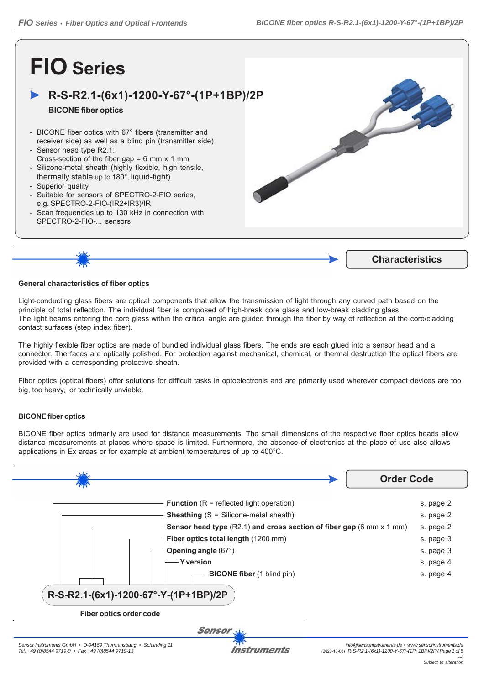# **FIO Series**

## **R-S-R2.1-(6x1)-1200-Y-67°-(1P+1BP)/2P**

### **BICONE fiber optics**

- BICONE fiber optics with 67° fibers (transmitter and receiver side) as well as a blind pin (transmitter side)
- Sensor head type R2.1: Cross-section of the fiber gap = 6 mm x 1 mm - Silicone-metal sheath (highly flexible, high tensile,
- thermally stable up to 180°, liquid-tight)
- Superior quality
- Suitable for sensors of SPECTRO-2-FIO series, e.g. SPECTRO-2-FIO-(IR2+IR3)/IR
- Scan frequencies up to 130 kHz in connection with SPECTRO-2-FIO-... sensors





#### **General characteristics of fiber optics**

Light-conducting glass fibers are optical components that allow the transmission of light through any curved path based on the principle of total reflection. The individual fiber is composed of high-break core glass and low-break cladding glass. The light beams entering the core glass within the critical angle are guided through the fiber by way of reflection at the core/cladding contact surfaces (step index fiber).

The highly flexible fiber optics are made of bundled individual glass fibers. The ends are each glued into a sensor head and a connector. The faces are optically polished. For protection against mechanical, chemical, or thermal destruction the optical fibers are provided with a corresponding protective sheath.

Fiber optics (optical fibers) offer solutions for difficult tasks in optoelectronis and are primarily used wherever compact devices are too big, too heavy, or technically unviable.

#### **BICONE fiber optics**

BICONE fiber optics primarily are used for distance measurements. The small dimensions of the respective fiber optics heads allow distance measurements at places where space is limited. Furthermore, the absence of electronics at the place of use also allows applications in Ex areas or for example at ambient temperatures of up to 400°C.



Instruments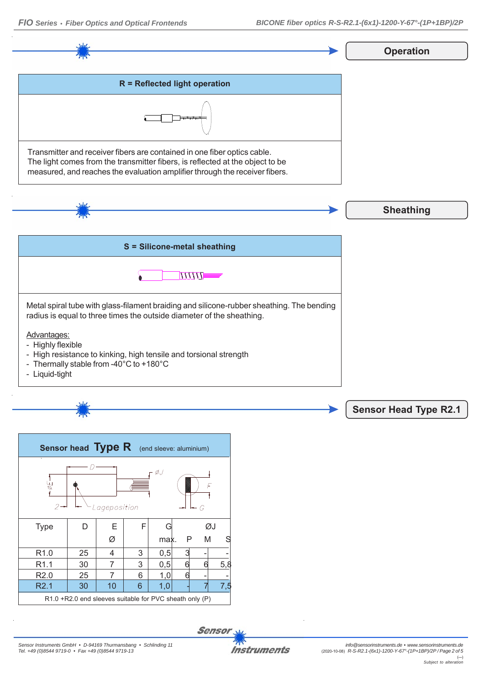R2.1 | 30 | 10 | 6 | 1,0 | - 7 7,5

R1.0 +R2.0 end sleeves suitable for PVC sheath only (P)





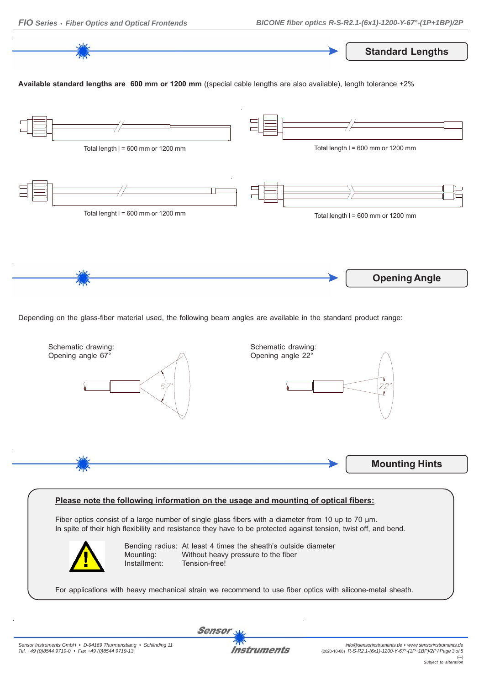**Standard Lengths**

**Available standard lengths are 600 mm or 1200 mm** ((special cable lengths are also available), length tolerance +2%



Depending on the glass-fiber material used, the following beam angles are available in the standard product range:



#### **Please note the following information on the usage and mounting of optical fibers:**

Fiber optics consist of a large number of single glass fibers with a diameter from 10 up to 70 μm. In spite of their high flexibility and resistance they have to be protected against tension, twist off, and bend.



Bending radius: At least 4 times the sheath's outside diameter Mounting: Without heavy pressure to the fiber Installment: Tension-free!

For applications with heavy mechanical strain we recommend to use fiber optics with silicone-metal sheath.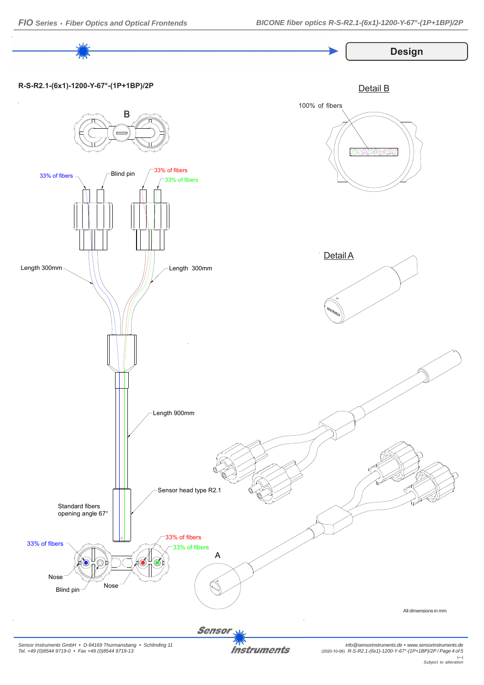

*Sensor Instruments GmbH • D-94169 Thurmansbang • Schlinding 11 Tel. +49 (0)8544 9719-0 • Fax +49 (0)8544 9719-13*

**Instruments**